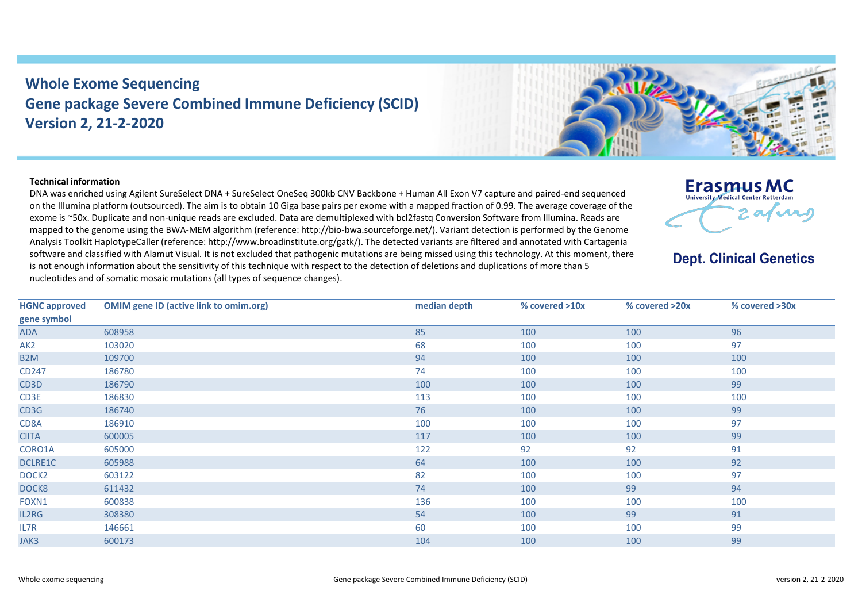## **Whole Exome Sequencing Gene package Severe Combined Immune Deficiency (SCID) Version 2, 21-2-2020**



## **Technical information**

DNA was enriched using Agilent SureSelect DNA + SureSelect OneSeq 300kb CNV Backbone + Human All Exon V7 capture and paired-end sequenced on the Illumina platform (outsourced). The aim is to obtain 10 Giga base pairs per exome with a mapped fraction of 0.99. The average coverage of the exome is ~50x. Duplicate and non-unique reads are excluded. Data are demultiplexed with bcl2fastq Conversion Software from Illumina. Reads are mapped to the genome using the BWA-MEM algorithm (reference: http://bio-bwa.sourceforge.net/). Variant detection is performed by the Genome Analysis Toolkit HaplotypeCaller (reference: http://www.broadinstitute.org/gatk/). The detected variants are filtered and annotated with Cartagenia software and classified with Alamut Visual. It is not excluded that pathogenic mutations are being missed using this technology. At this moment, there is not enough information about the sensitivity of this technique with respect to the detection of deletions and duplications of more than 5 nucleotides and of somatic mosaic mutations (all types of sequence changes).



## **Dept. Clinical Genetics**

| <b>HGNC approved</b> | <b>OMIM gene ID (active link to omim.org)</b> | median depth | % covered >10x | % covered >20x | % covered >30x |
|----------------------|-----------------------------------------------|--------------|----------------|----------------|----------------|
| gene symbol          |                                               |              |                |                |                |
| <b>ADA</b>           | 608958                                        | 85           | 100            | 100            | 96             |
| AK <sub>2</sub>      | 103020                                        | 68           | 100            | 100            | 97             |
| B <sub>2</sub> M     | 109700                                        | 94           | 100            | 100            | 100            |
| CD247                | 186780                                        | 74           | 100            | 100            | 100            |
| CD3D                 | 186790                                        | 100          | 100            | 100            | 99             |
| CD3E                 | 186830                                        | 113          | 100            | 100            | 100            |
| CD3G                 | 186740                                        | 76           | 100            | 100            | 99             |
| CD8A                 | 186910                                        | 100          | 100            | 100            | 97             |
| <b>CIITA</b>         | 600005                                        | 117          | 100            | 100            | 99             |
| CORO1A               | 605000                                        | 122          | 92             | 92             | 91             |
| DCLRE1C              | 605988                                        | 64           | 100            | 100            | 92             |
| DOCK <sub>2</sub>    | 603122                                        | 82           | 100            | 100            | 97             |
| DOCK8                | 611432                                        | 74           | 100            | 99             | 94             |
| FOXN1                | 600838                                        | 136          | 100            | 100            | 100            |
| IL2RG                | 308380                                        | 54           | 100            | 99             | 91             |
| IL7R                 | 146661                                        | 60           | 100            | 100            | 99             |
| JAK3                 | 600173                                        | 104          | 100            | 100            | 99             |